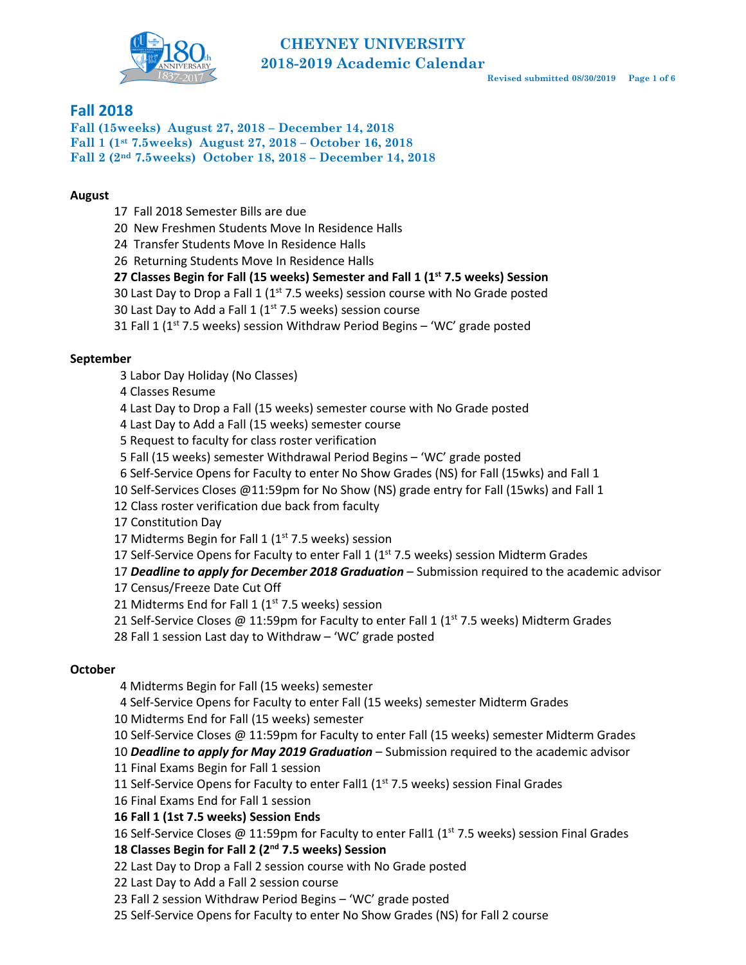

## **Fall 2018**

**Fall (15weeks) August 27, 2018 – December 14, 2018 Fall 1 (1st 7.5weeks) August 27, 2018 – October 16, 2018 Fall 2 (2nd 7.5weeks) October 18, 2018 – December 14, 2018**

## **August**

- 17 Fall 2018 Semester Bills are due
- 20 New Freshmen Students Move In Residence Halls
- 24 Transfer Students Move In Residence Halls
- 26 Returning Students Move In Residence Halls
- **27 Classes Begin for Fall (15 weeks) Semester and Fall 1 (1st 7.5 weeks) Session**
- 30 Last Day to Drop a Fall 1 ( $1<sup>st</sup>$  7.5 weeks) session course with No Grade posted
- 30 Last Day to Add a Fall 1 ( $1<sup>st</sup>$  7.5 weeks) session course
- 31 Fall 1 (1st 7.5 weeks) session Withdraw Period Begins 'WC' grade posted

## **September**

- 3 Labor Day Holiday (No Classes)
- 4 Classes Resume
- 4 Last Day to Drop a Fall (15 weeks) semester course with No Grade posted
- 4 Last Day to Add a Fall (15 weeks) semester course
- 5 Request to faculty for class roster verification
- 5 Fall (15 weeks) semester Withdrawal Period Begins 'WC' grade posted
- 6 Self-Service Opens for Faculty to enter No Show Grades (NS) for Fall (15wks) and Fall 1
- 10 Self-Services Closes @11:59pm for No Show (NS) grade entry for Fall (15wks) and Fall 1
- 12 Class roster verification due back from faculty
- 17 Constitution Day
- 17 Midterms Begin for Fall 1  $(1<sup>st</sup> 7.5$  weeks) session
- 17 Self-Service Opens for Faculty to enter Fall 1 ( $1<sup>st</sup>$  7.5 weeks) session Midterm Grades

17 *Deadline to apply for December 2018 Graduation* – Submission required to the academic advisor

17 Census/Freeze Date Cut Off

- 21 Midterms End for Fall 1 ( $1<sup>st</sup>$  7.5 weeks) session
- 21 Self-Service Closes @ 11:59pm for Faculty to enter Fall 1 (1<sup>st</sup> 7.5 weeks) Midterm Grades
- 28 Fall 1 session Last day to Withdraw 'WC' grade posted

## **October**

- 4 Midterms Begin for Fall (15 weeks) semester
- 4 Self-Service Opens for Faculty to enter Fall (15 weeks) semester Midterm Grades
- 10 Midterms End for Fall (15 weeks) semester
- 10 Self-Service Closes @ 11:59pm for Faculty to enter Fall (15 weeks) semester Midterm Grades
- 10 *Deadline to apply for May 2019 Graduation*  Submission required to the academic advisor
- 11 Final Exams Begin for Fall 1 session
- 11 Self-Service Opens for Faculty to enter Fall1 ( $1<sup>st</sup>$  7.5 weeks) session Final Grades
- 16 Final Exams End for Fall 1 session
- **16 Fall 1 (1st 7.5 weeks) Session Ends**
- 16 Self-Service Closes @ 11:59pm for Faculty to enter Fall1 ( $1<sup>st</sup>$  7.5 weeks) session Final Grades

## **18 Classes Begin for Fall 2 (2nd 7.5 weeks) Session**

- 22 Last Day to Drop a Fall 2 session course with No Grade posted
- 22 Last Day to Add a Fall 2 session course
- 23 Fall 2 session Withdraw Period Begins 'WC' grade posted
- 25 Self-Service Opens for Faculty to enter No Show Grades (NS) for Fall 2 course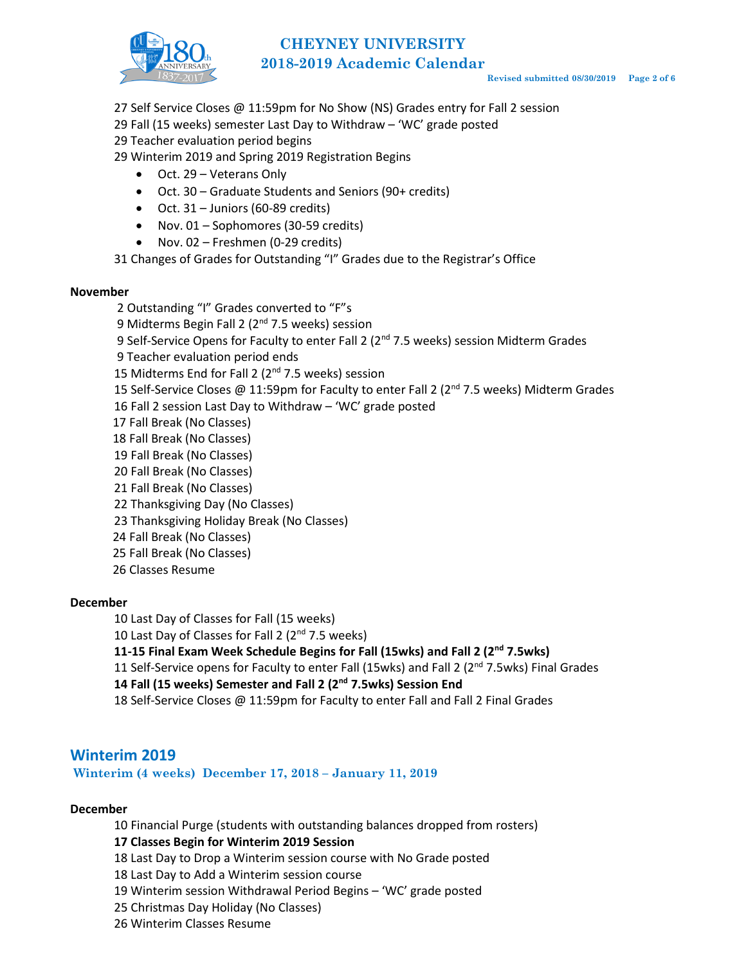

# **CHEYNEY UNIVERSITY 2018-2019 Academic Calendar**

- 27 Self Service Closes @ 11:59pm for No Show (NS) Grades entry for Fall 2 session
- 29 Fall (15 weeks) semester Last Day to Withdraw 'WC' grade posted

29 Teacher evaluation period begins

- 29 Winterim 2019 and Spring 2019 Registration Begins
	- Oct. 29 Veterans Only
	- Oct. 30 Graduate Students and Seniors (90+ credits)
	- $\bullet$  Oct. 31 Juniors (60-89 credits)
	- Nov. 01 Sophomores (30-59 credits)
	- Nov. 02 Freshmen (0-29 credits)

31 Changes of Grades for Outstanding "I" Grades due to the Registrar's Office

#### **November**

Outstanding "I" Grades converted to "F"s 9 Midterms Begin Fall 2 (2<sup>nd</sup> 7.5 weeks) session 9 Self-Service Opens for Faculty to enter Fall 2 (2<sup>nd</sup> 7.5 weeks) session Midterm Grades 9 Teacher evaluation period ends 15 Midterms End for Fall 2 (2<sup>nd</sup> 7.5 weeks) session 15 Self-Service Closes @ 11:59pm for Faculty to enter Fall 2 ( $2<sup>nd</sup>$  7.5 weeks) Midterm Grades Fall 2 session Last Day to Withdraw – 'WC' grade posted Fall Break (No Classes) Fall Break (No Classes) Fall Break (No Classes) Fall Break (No Classes) Fall Break (No Classes) Thanksgiving Day (No Classes) Thanksgiving Holiday Break (No Classes) 24 Fall Break (No Classes) Fall Break (No Classes) Classes Resume

## **December**

- 10 Last Day of Classes for Fall (15 weeks)
- 10 Last Day of Classes for Fall 2  $(2^{nd} 7.5$  weeks)

## **11-15 Final Exam Week Schedule Begins for Fall (15wks) and Fall 2 (2nd 7.5wks)**

11 Self-Service opens for Faculty to enter Fall (15wks) and Fall 2 (2<sup>nd</sup> 7.5wks) Final Grades

**14 Fall (15 weeks) Semester and Fall 2 (2nd 7.5wks) Session End**

18 Self-Service Closes @ 11:59pm for Faculty to enter Fall and Fall 2 Final Grades

## **Winterim 2019**

**Winterim (4 weeks) December 17, 2018 – January 11, 2019**

#### **December**

10 Financial Purge (students with outstanding balances dropped from rosters)

## **17 Classes Begin for Winterim 2019 Session**

- 18 Last Day to Drop a Winterim session course with No Grade posted
- 18 Last Day to Add a Winterim session course
- 19 Winterim session Withdrawal Period Begins 'WC' grade posted
- 25 Christmas Day Holiday (No Classes)
- 26 Winterim Classes Resume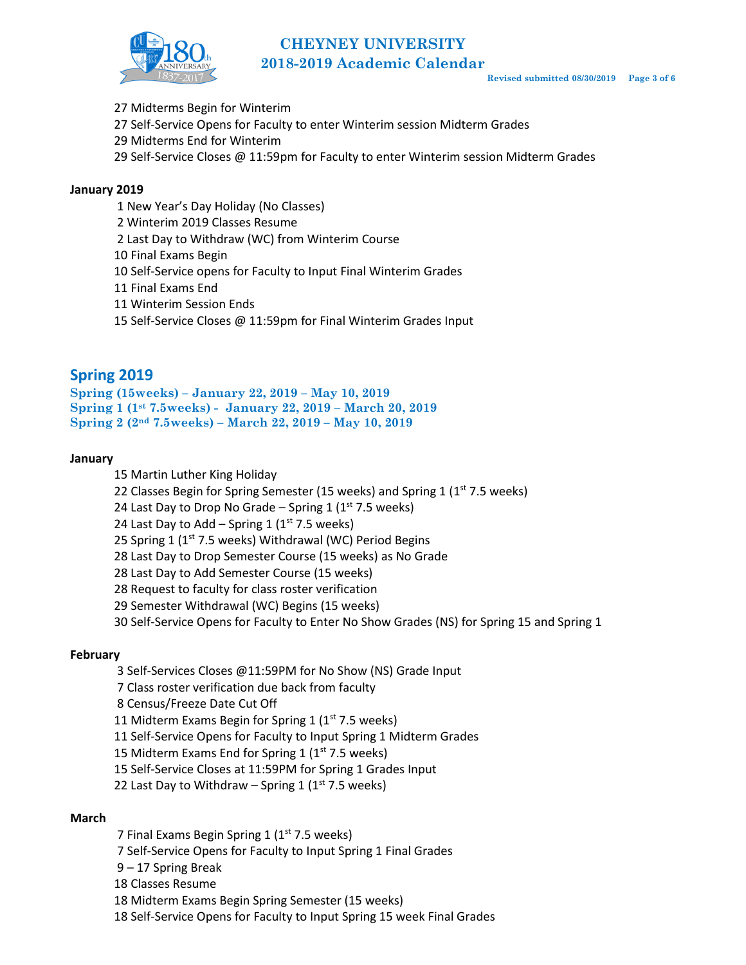

- 27 Midterms Begin for Winterim
- 27 Self-Service Opens for Faculty to enter Winterim session Midterm Grades
- 29 Midterms End for Winterim
- 29 Self-Service Closes @ 11:59pm for Faculty to enter Winterim session Midterm Grades

#### **January 2019**

- 1 New Year's Day Holiday (No Classes)
- 2 Winterim 2019 Classes Resume
- 2 Last Day to Withdraw (WC) from Winterim Course
- 10 Final Exams Begin
- 10 Self-Service opens for Faculty to Input Final Winterim Grades
- 11 Final Exams End
- 11 Winterim Session Ends
- 15 Self-Service Closes @ 11:59pm for Final Winterim Grades Input

## **Spring 2019**

```
Spring (15weeks) – January 22, 2019 – May 10, 2019
Spring 1 (1st 7.5weeks) - January 22, 2019 – March 20, 2019
Spring 2 (2nd 7.5weeks) – March 22, 2019 – May 10, 2019
```
#### **January**

- 15 Martin Luther King Holiday
- 22 Classes Begin for Spring Semester (15 weeks) and Spring 1 (1<sup>st</sup> 7.5 weeks)

24 Last Day to Drop No Grade – Spring 1  $(1<sup>st</sup> 7.5$  weeks)

24 Last Day to Add – Spring 1 ( $1<sup>st</sup>$  7.5 weeks)

25 Spring 1 ( $1<sup>st</sup>$  7.5 weeks) Withdrawal (WC) Period Begins

- 28 Last Day to Drop Semester Course (15 weeks) as No Grade
- 28 Last Day to Add Semester Course (15 weeks)
- 28 Request to faculty for class roster verification
- 29 Semester Withdrawal (WC) Begins (15 weeks)
- 30 Self-Service Opens for Faculty to Enter No Show Grades (NS) for Spring 15 and Spring 1

#### **February**

- 3 Self-Services Closes @11:59PM for No Show (NS) Grade Input
- 7 Class roster verification due back from faculty
- 8 Census/Freeze Date Cut Off
- 11 Midterm Exams Begin for Spring 1 ( $1<sup>st</sup>$  7.5 weeks)
- 11 Self-Service Opens for Faculty to Input Spring 1 Midterm Grades
- 15 Midterm Exams End for Spring 1 ( $1<sup>st</sup>$  7.5 weeks)
- 15 Self-Service Closes at 11:59PM for Spring 1 Grades Input
- 22 Last Day to Withdraw Spring 1 ( $1<sup>st</sup>$  7.5 weeks)

#### **March**

- 7 Final Exams Begin Spring 1 (1<sup>st</sup> 7.5 weeks)
- 7 Self-Service Opens for Faculty to Input Spring 1 Final Grades
- 9 17 Spring Break
- 18 Classes Resume
- 18 Midterm Exams Begin Spring Semester (15 weeks)
- 18 Self-Service Opens for Faculty to Input Spring 15 week Final Grades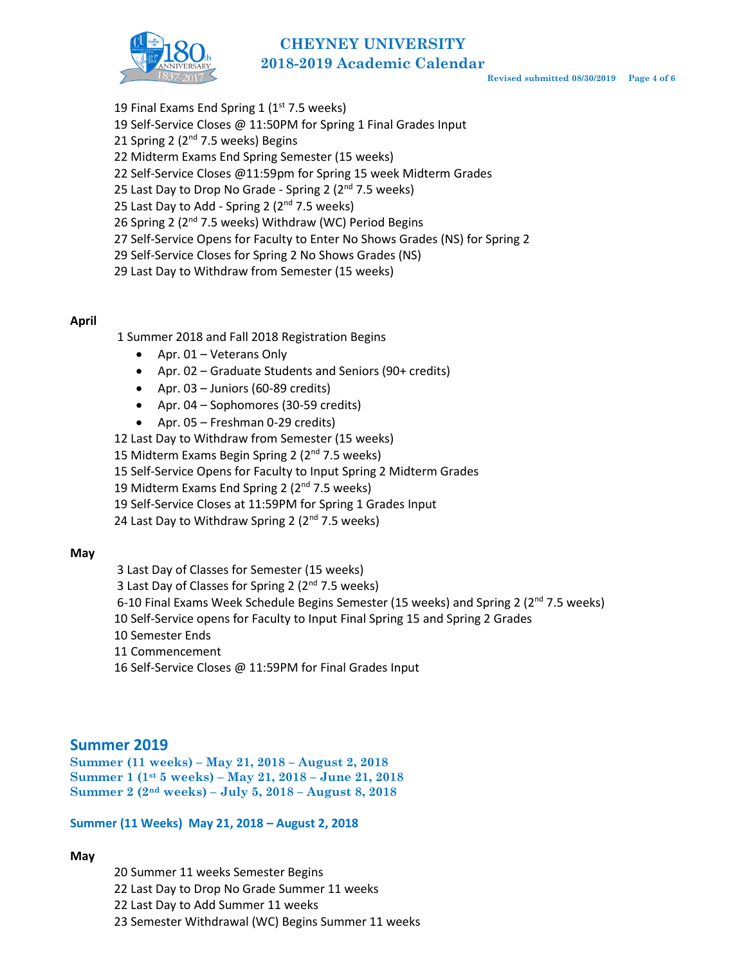# **CHEYNEY UNIVERSITY 2018-2019 Academic Calendar**



- 19 Final Exams End Spring 1 ( $1<sup>st</sup>$  7.5 weeks)
- 19 Self-Service Closes @ 11:50PM for Spring 1 Final Grades Input
- 21 Spring 2 (2<sup>nd</sup> 7.5 weeks) Begins
- 22 Midterm Exams End Spring Semester (15 weeks)
- 22 Self-Service Closes @11:59pm for Spring 15 week Midterm Grades
- 25 Last Day to Drop No Grade Spring 2 (2<sup>nd</sup> 7.5 weeks)
- 25 Last Day to Add Spring 2  $(2^{nd} 7.5$  weeks)
- 26 Spring 2 (2<sup>nd</sup> 7.5 weeks) Withdraw (WC) Period Begins
- 27 Self-Service Opens for Faculty to Enter No Shows Grades (NS) for Spring 2
- 29 Self-Service Closes for Spring 2 No Shows Grades (NS)
- 29 Last Day to Withdraw from Semester (15 weeks)

## **April**

- 1 Summer 2018 and Fall 2018 Registration Begins
	- Apr. 01 Veterans Only
	- Apr. 02 Graduate Students and Seniors (90+ credits)
	- Apr.  $03$  Juniors (60-89 credits)
	- Apr. 04 Sophomores (30-59 credits)
	- Apr. 05 Freshman 0-29 credits)
- 12 Last Day to Withdraw from Semester (15 weeks)
- 15 Midterm Exams Begin Spring 2 (2<sup>nd</sup> 7.5 weeks)
- 15 Self-Service Opens for Faculty to Input Spring 2 Midterm Grades
- 19 Midterm Exams End Spring 2 (2<sup>nd</sup> 7.5 weeks)
- 19 Self-Service Closes at 11:59PM for Spring 1 Grades Input
- 24 Last Day to Withdraw Spring 2  $(2^{nd}$  7.5 weeks)

## **May**

- 3 Last Day of Classes for Semester (15 weeks)
- 3 Last Day of Classes for Spring 2 ( $2<sup>nd</sup>$  7.5 weeks)
- 6-10 Final Exams Week Schedule Begins Semester (15 weeks) and Spring 2 ( $2<sup>nd</sup>$  7.5 weeks)
- 10 Self-Service opens for Faculty to Input Final Spring 15 and Spring 2 Grades
- 10 Semester Ends
- 11 Commencement
- 16 Self-Service Closes @ 11:59PM for Final Grades Input

# **Summer 2019**

**Summer (11 weeks) – May 21, 2018 – August 2, 2018 Summer 1 (1st 5 weeks) – May 21, 2018 – June 21, 2018 Summer 2 (2nd weeks) – July 5, 2018 – August 8, 2018**

## **Summer (11 Weeks) May 21, 2018 – August 2, 2018**

## **May**

 Summer 11 weeks Semester Begins Last Day to Drop No Grade Summer 11 weeks Last Day to Add Summer 11 weeks Semester Withdrawal (WC) Begins Summer 11 weeks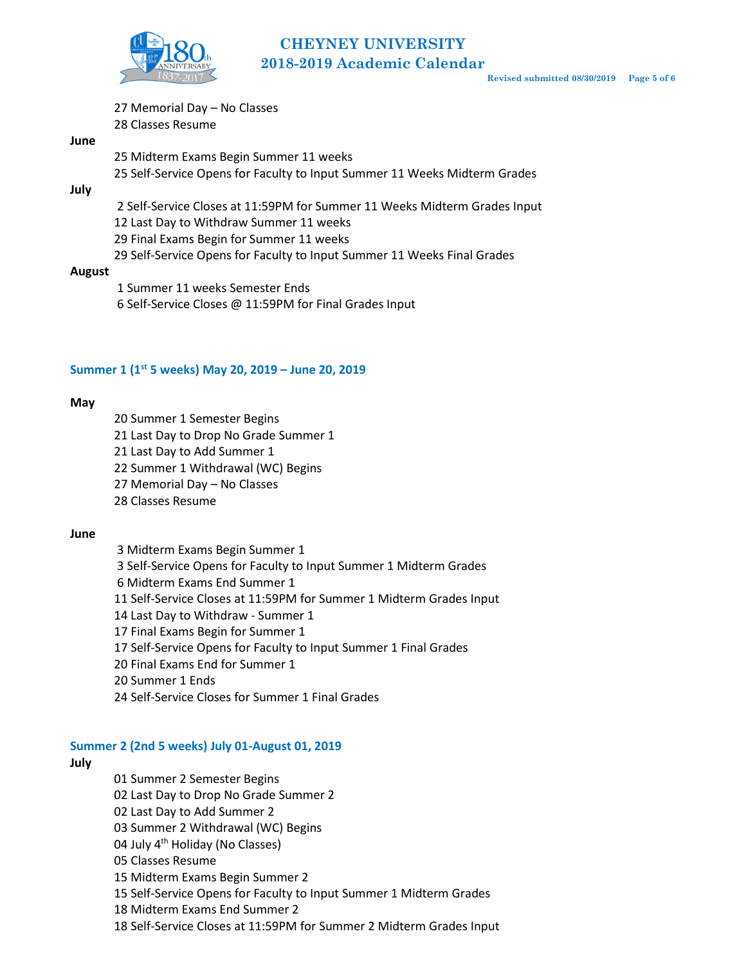

# **CHEYNEY UNIVERSITY 2018-2019 Academic Calendar**

Memorial Day – No Classes

Classes Resume

#### **June**

 Midterm Exams Begin Summer 11 weeks Self-Service Opens for Faculty to Input Summer 11 Weeks Midterm Grades

**July**

Self-Service Closes at 11:59PM for Summer 11 Weeks Midterm Grades Input

Last Day to Withdraw Summer 11 weeks

Final Exams Begin for Summer 11 weeks

Self-Service Opens for Faculty to Input Summer 11 Weeks Final Grades

#### **August**

Summer 11 weeks Semester Ends

Self-Service Closes @ 11:59PM for Final Grades Input

## **Summer 1 (1st 5 weeks) May 20, 2019 – June 20, 2019**

#### **May**

Summer 1 Semester Begins

Last Day to Drop No Grade Summer 1

Last Day to Add Summer 1

Summer 1 Withdrawal (WC) Begins

Memorial Day – No Classes

Classes Resume

#### **June**

 Midterm Exams Begin Summer 1 Self-Service Opens for Faculty to Input Summer 1 Midterm Grades Midterm Exams End Summer 1 Self-Service Closes at 11:59PM for Summer 1 Midterm Grades Input Last Day to Withdraw - Summer 1 Final Exams Begin for Summer 1 Self-Service Opens for Faculty to Input Summer 1 Final Grades 20 Final Exams End for Summer 1 Summer 1 Ends Self-Service Closes for Summer 1 Final Grades

#### **Summer 2 (2nd 5 weeks) July 01-August 01, 2019**

## **July**

Summer 2 Semester Begins

Last Day to Drop No Grade Summer 2

Last Day to Add Summer 2

Summer 2 Withdrawal (WC) Begins

04 July 4<sup>th</sup> Holiday (No Classes)

05 Classes Resume

Midterm Exams Begin Summer 2

Self-Service Opens for Faculty to Input Summer 1 Midterm Grades

Midterm Exams End Summer 2

Self-Service Closes at 11:59PM for Summer 2 Midterm Grades Input